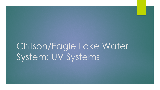## Chilson/Eagle Lake Water System: UV Systems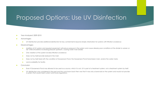## Proposed Options: Use UV Disinfection

- Year Analyzed: 2009-2010
- **Advantages:** 
	- UV Disinfection provide additional disinfection for key containments beyond simple chlorination for systems with filtration avoidance
- Disadvantages:
	- Addition of UV system and required equipment will reduce pressure in the system and cause already poor conditions at the divide to worsen or fail while simulations increasing pressure upstream, causing water main breaks
	- **DED STARF One violation of the system revokes filtration avoidance**
	- Does not by itself provide residual in the main
	- Does not by itself deal with the condition of Gooseneck Pond, the Gooseneck Pond transmission main, and/or the water mains
	- **Land availability for facility**
- Conclusion
	- Even if Gooseneck Pond was allowed to be used as a source, which it is not, UV is part of a treatment system, not a treatment system by itself.
	- UV disinfection was considered in the past and the conclusion back then was that it was only a band-aid on the system and would not provide a system that would meet current and future regulations.